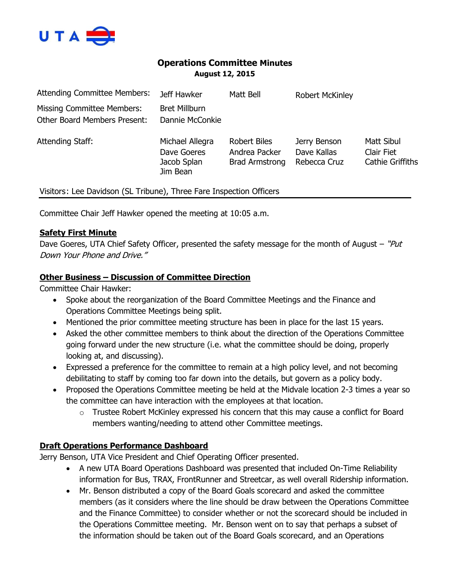

# **Operations Committee Minutes August 12, 2015**

| <b>Attending Committee Members:</b>                                      | Jeff Hawker                                               | Matt Bell                                                     | <b>Robert McKinley</b>                      |                                              |
|--------------------------------------------------------------------------|-----------------------------------------------------------|---------------------------------------------------------------|---------------------------------------------|----------------------------------------------|
| <b>Missing Committee Members:</b><br><b>Other Board Members Present:</b> | <b>Bret Millburn</b><br>Dannie McConkie                   |                                                               |                                             |                                              |
| Attending Staff:                                                         | Michael Allegra<br>Dave Goeres<br>Jacob Splan<br>Jim Bean | <b>Robert Biles</b><br>Andrea Packer<br><b>Brad Armstrong</b> | Jerry Benson<br>Dave Kallas<br>Rebecca Cruz | Matt Sibul<br>Clair Fiet<br>Cathie Griffiths |
| Visitors: Lee Davidson (SL Tribune), Three Fare Inspection Officers      |                                                           |                                                               |                                             |                                              |

Committee Chair Jeff Hawker opened the meeting at 10:05 a.m.

#### **Safety First Minute**

Dave Goeres, UTA Chief Safety Officer, presented the safety message for the month of August – "Put Down Your Phone and Drive."

#### **Other Business – Discussion of Committee Direction**

Committee Chair Hawker:

- Spoke about the reorganization of the Board Committee Meetings and the Finance and Operations Committee Meetings being split.
- Mentioned the prior committee meeting structure has been in place for the last 15 years.
- Asked the other committee members to think about the direction of the Operations Committee going forward under the new structure (i.e. what the committee should be doing, properly looking at, and discussing).
- Expressed a preference for the committee to remain at a high policy level, and not becoming debilitating to staff by coming too far down into the details, but govern as a policy body.
- Proposed the Operations Committee meeting be held at the Midvale location 2-3 times a year so the committee can have interaction with the employees at that location.
	- $\circ$  Trustee Robert McKinley expressed his concern that this may cause a conflict for Board members wanting/needing to attend other Committee meetings.

## **Draft Operations Performance Dashboard**

Jerry Benson, UTA Vice President and Chief Operating Officer presented.

- A new UTA Board Operations Dashboard was presented that included On-Time Reliability information for Bus, TRAX, FrontRunner and Streetcar, as well overall Ridership information.
- Mr. Benson distributed a copy of the Board Goals scorecard and asked the committee members (as it considers where the line should be draw between the Operations Committee and the Finance Committee) to consider whether or not the scorecard should be included in the Operations Committee meeting. Mr. Benson went on to say that perhaps a subset of the information should be taken out of the Board Goals scorecard, and an Operations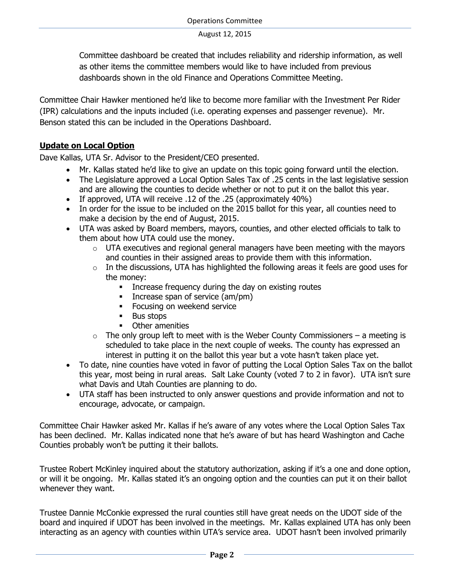Committee dashboard be created that includes reliability and ridership information, as well as other items the committee members would like to have included from previous dashboards shown in the old Finance and Operations Committee Meeting.

Committee Chair Hawker mentioned he'd like to become more familiar with the Investment Per Rider (IPR) calculations and the inputs included (i.e. operating expenses and passenger revenue). Mr. Benson stated this can be included in the Operations Dashboard.

# **Update on Local Option**

Dave Kallas, UTA Sr. Advisor to the President/CEO presented.

- Mr. Kallas stated he'd like to give an update on this topic going forward until the election.
- The Legislature approved a Local Option Sales Tax of .25 cents in the last legislative session and are allowing the counties to decide whether or not to put it on the ballot this year.
- If approved, UTA will receive .12 of the .25 (approximately 40%)
- In order for the issue to be included on the 2015 ballot for this year, all counties need to make a decision by the end of August, 2015.
- UTA was asked by Board members, mayors, counties, and other elected officials to talk to them about how UTA could use the money.
	- $\circ$  UTA executives and regional general managers have been meeting with the mayors and counties in their assigned areas to provide them with this information.
	- $\circ$  In the discussions, UTA has highlighted the following areas it feels are good uses for the money:
		- **Increase frequency during the day on existing routes**
		- Increase span of service (am/pm)
		- **Focusing on weekend service**
		- **Bus stops**
		- **•** Other amenities
	- $\circ$  The only group left to meet with is the Weber County Commissioners a meeting is scheduled to take place in the next couple of weeks. The county has expressed an interest in putting it on the ballot this year but a vote hasn't taken place yet.
- To date, nine counties have voted in favor of putting the Local Option Sales Tax on the ballot this year, most being in rural areas. Salt Lake County (voted 7 to 2 in favor). UTA isn't sure what Davis and Utah Counties are planning to do.
- UTA staff has been instructed to only answer questions and provide information and not to encourage, advocate, or campaign.

Committee Chair Hawker asked Mr. Kallas if he's aware of any votes where the Local Option Sales Tax has been declined. Mr. Kallas indicated none that he's aware of but has heard Washington and Cache Counties probably won't be putting it their ballots.

Trustee Robert McKinley inquired about the statutory authorization, asking if it's a one and done option, or will it be ongoing. Mr. Kallas stated it's an ongoing option and the counties can put it on their ballot whenever they want.

Trustee Dannie McConkie expressed the rural counties still have great needs on the UDOT side of the board and inquired if UDOT has been involved in the meetings. Mr. Kallas explained UTA has only been interacting as an agency with counties within UTA's service area. UDOT hasn't been involved primarily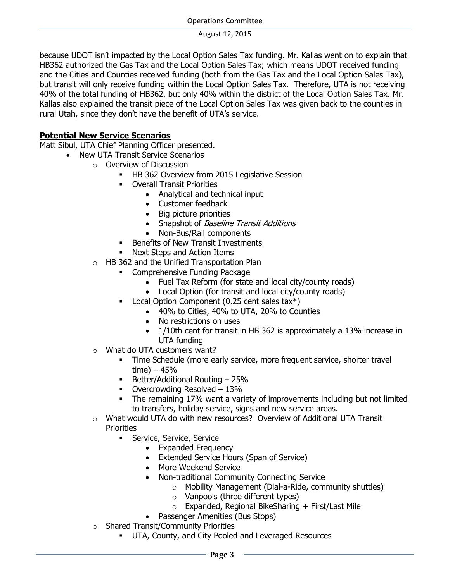because UDOT isn't impacted by the Local Option Sales Tax funding. Mr. Kallas went on to explain that HB362 authorized the Gas Tax and the Local Option Sales Tax; which means UDOT received funding and the Cities and Counties received funding (both from the Gas Tax and the Local Option Sales Tax), but transit will only receive funding within the Local Option Sales Tax. Therefore, UTA is not receiving 40% of the total funding of HB362, but only 40% within the district of the Local Option Sales Tax. Mr. Kallas also explained the transit piece of the Local Option Sales Tax was given back to the counties in rural Utah, since they don't have the benefit of UTA's service.

# **Potential New Service Scenarios**

Matt Sibul, UTA Chief Planning Officer presented.

- New UTA Transit Service Scenarios
	- o Overview of Discussion
		- **HB 362 Overview from 2015 Legislative Session**
		- Overall Transit Priorities
			- Analytical and technical input
			- Customer feedback
			- Big picture priorities
			- Snapshot of Baseline Transit Additions
			- Non-Bus/Rail components
		- Benefits of New Transit Investments
		- Next Steps and Action Items
	- o HB 362 and the Unified Transportation Plan
		- **EXECOMPTED FUNDING PACKAGE** 
			- Fuel Tax Reform (for state and local city/county roads)
			- Local Option (for transit and local city/county roads)
			- Local Option Component (0.25 cent sales tax\*)
				- 40% to Cities, 40% to UTA, 20% to Counties
				- No restrictions on uses
				- 1/10th cent for transit in HB 362 is approximately a 13% increase in UTA funding
	- o What do UTA customers want?
		- Time Schedule (more early service, more frequent service, shorter travel time)  $-45%$
		- **Better/Additional Routing 25%**
		- Overcrowding Resolved 13%
		- The remaining 17% want a variety of improvements including but not limited to transfers, holiday service, signs and new service areas.
	- $\circ$  What would UTA do with new resources? Overview of Additional UTA Transit **Priorities** 
		- **Service, Service, Service** 
			- Expanded Frequency
			- Extended Service Hours (Span of Service)
			- More Weekend Service
			- Non-traditional Community Connecting Service
				- o Mobility Management (Dial-a-Ride, community shuttles)
				- o Vanpools (three different types)
				- $\circ$  Expanded, Regional BikeSharing + First/Last Mile
			- Passenger Amenities (Bus Stops)
	- o Shared Transit/Community Priorities
		- UTA, County, and City Pooled and Leveraged Resources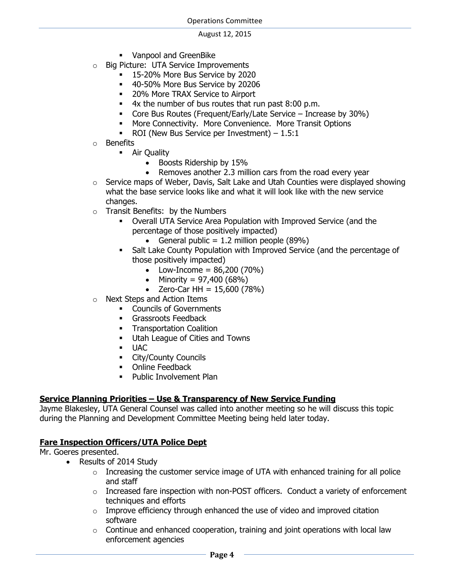- **•** Vanpool and GreenBike
- o Big Picture: UTA Service Improvements
	- **15-20% More Bus Service by 2020**
	- 40-50% More Bus Service by 20206
	- **20% More TRAX Service to Airport**
	- 4x the number of bus routes that run past 8:00 p.m.
	- Core Bus Routes (Frequent/Early/Late Service Increase by 30%)
	- More Connectivity. More Convenience. More Transit Options
	- ROI (New Bus Service per Investment)  $-1.5:1$
- o Benefits
	- **Air Quality** 
		- Boosts Ridership by 15%
		- Removes another 2.3 million cars from the road every year
- o Service maps of Weber, Davis, Salt Lake and Utah Counties were displayed showing what the base service looks like and what it will look like with the new service changes.
- o Transit Benefits: by the Numbers
	- Overall UTA Service Area Population with Improved Service (and the percentage of those positively impacted)
		- General public  $= 1.2$  million people (89%)
	- Salt Lake County Population with Improved Service (and the percentage of those positively impacted)
		- Low-Income =  $86,200(70%)$
		- Minority =  $97,400 (68%)$
		- $\bullet$  Zero-Car HH = 15,600 (78%)
- o Next Steps and Action Items
	- **•** Councils of Governments
	- **Grassroots Feedback**
	- **Transportation Coalition**
	- **Utah League of Cities and Towns**
	- UAC
	- **City/County Councils**
	- **•** Online Feedback
	- **Public Involvement Plan**

## **Service Planning Priorities – Use & Transparency of New Service Funding**

Jayme Blakesley, UTA General Counsel was called into another meeting so he will discuss this topic during the Planning and Development Committee Meeting being held later today.

## **Fare Inspection Officers/UTA Police Dept**

Mr. Goeres presented.

- Results of 2014 Study
	- $\circ$  Increasing the customer service image of UTA with enhanced training for all police and staff
	- $\circ$  Increased fare inspection with non-POST officers. Conduct a variety of enforcement techniques and efforts
	- $\circ$  Improve efficiency through enhanced the use of video and improved citation software
	- $\circ$  Continue and enhanced cooperation, training and joint operations with local law enforcement agencies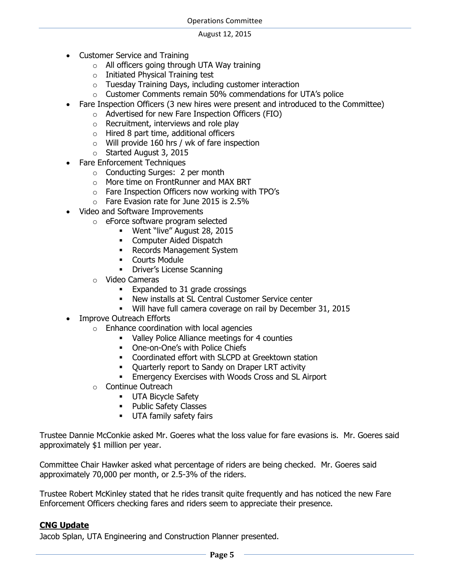- Customer Service and Training
	- o All officers going through UTA Way training
	- o Initiated Physical Training test
	- o Tuesday Training Days, including customer interaction
	- o Customer Comments remain 50% commendations for UTA's police
- Fare Inspection Officers (3 new hires were present and introduced to the Committee)
	- o Advertised for new Fare Inspection Officers (FIO)
	- o Recruitment, interviews and role play
	- o Hired 8 part time, additional officers
	- o Will provide 160 hrs / wk of fare inspection
	- o Started August 3, 2015
- Fare Enforcement Techniques
	- o Conducting Surges: 2 per month
	- o More time on FrontRunner and MAX BRT
	- o Fare Inspection Officers now working with TPO's
	- o Fare Evasion rate for June 2015 is 2.5%
- Video and Software Improvements
	- o eForce software program selected
		- Went "live" August 28, 2015
		- **Computer Aided Dispatch**
		- **Records Management System**
		- **•** Courts Module
		- **-** Driver's License Scanning
	- o Video Cameras
		- **Expanded to 31 grade crossings**
		- New installs at SL Central Customer Service center
		- Will have full camera coverage on rail by December 31, 2015
- Improve Outreach Efforts
	- $\circ$  Enhance coordination with local agencies
		- Valley Police Alliance meetings for 4 counties
		- One-on-One's with Police Chiefs
		- Coordinated effort with SLCPD at Greektown station
		- Quarterly report to Sandy on Draper LRT activity
		- **Emergency Exercises with Woods Cross and SL Airport**
	- o Continue Outreach
		- **UTA Bicycle Safety**
		- Public Safety Classes
		- **UTA family safety fairs**

Trustee Dannie McConkie asked Mr. Goeres what the loss value for fare evasions is. Mr. Goeres said approximately \$1 million per year.

Committee Chair Hawker asked what percentage of riders are being checked. Mr. Goeres said approximately 70,000 per month, or 2.5-3% of the riders.

Trustee Robert McKinley stated that he rides transit quite frequently and has noticed the new Fare Enforcement Officers checking fares and riders seem to appreciate their presence.

## **CNG Update**

Jacob Splan, UTA Engineering and Construction Planner presented.